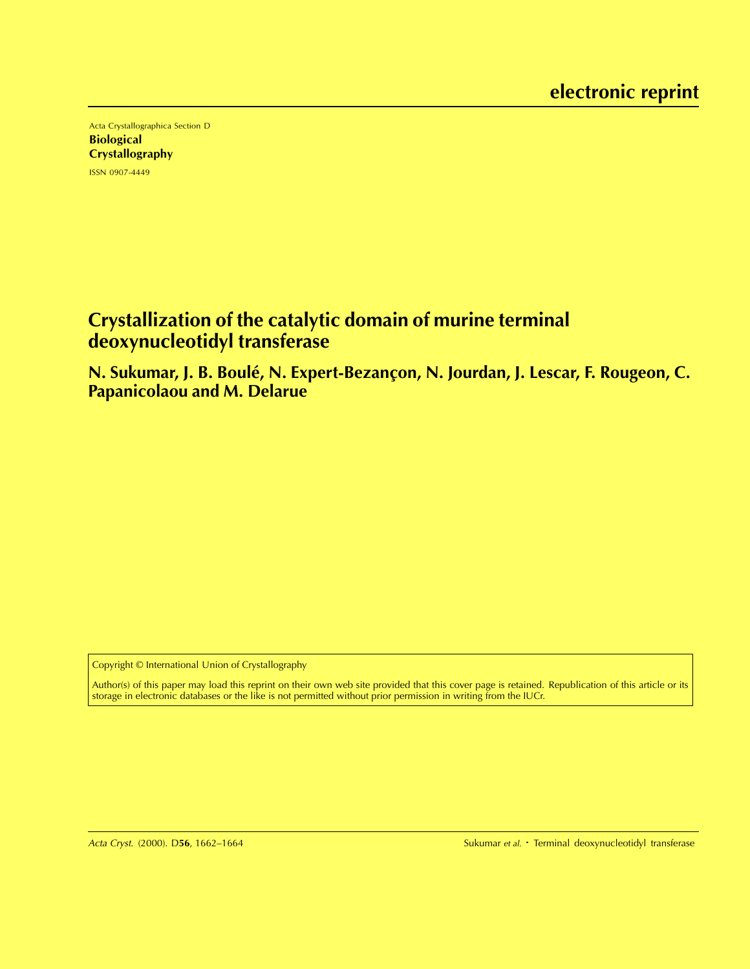Acta Crystallographica Section D **Biological Crystallography** ISSN 0907-4449

# **Crystallization of the catalytic domain of murine terminal deoxynucleotidyl transferase**

**N. Sukumar, J. B. Boule, N. Expert-Bezanc ´ ¸on, N. Jourdan, J. Lescar, F. Rougeon, C. Papanicolaou and M. Delarue**

Copyright © International Union of Crystallography

Author(s) of this paper may load this reprint on their own web site provided that this cover page is retained. Republication of this article or its storage in electronic databases or the like is not permitted without prior permission in writing from the IUCr.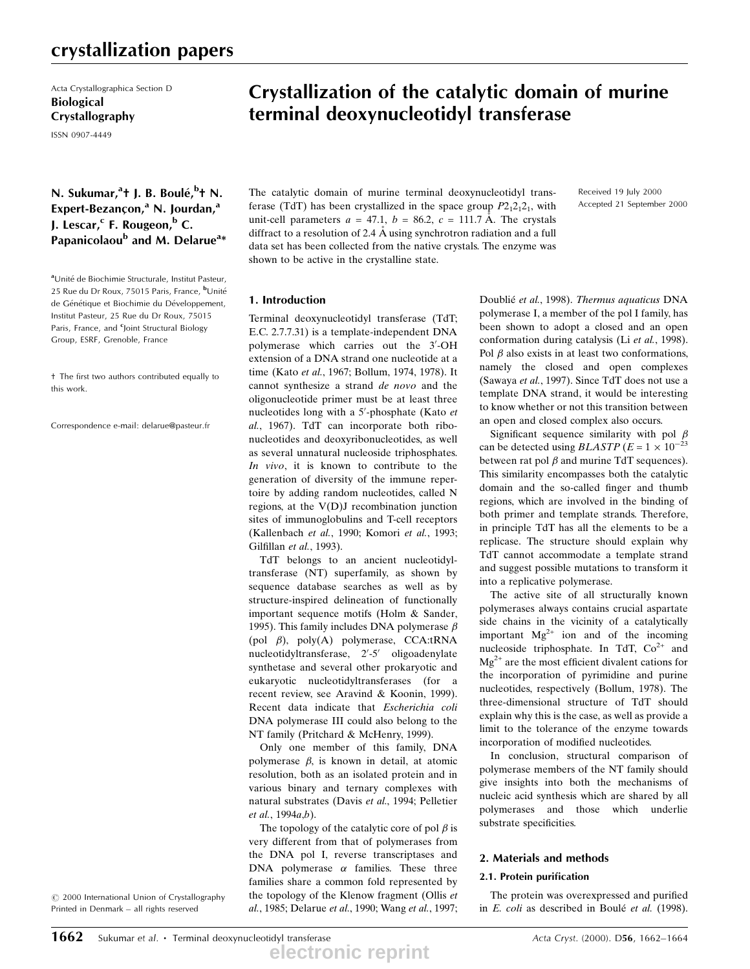## crystallization papers

Acta Crystallographica Section D Biological Crystallography

ISSN 0907-4449

## N. Sukumar,<sup>a</sup>t J. B. Boulé,<sup>b</sup>t N. Expert-Bezançon,<sup>a</sup> N. Jourdan,<sup>a</sup> J. Lescar, $c$  F. Rougeon, $b$  C. Papanicolaou<sup>b</sup> and M. Delarue<sup>a</sup>\*

aUnité de Biochimie Structurale, Institut Pasteur, 25 Rue du Dr Roux, 75015 Paris, France, <sup>b</sup>Unité de Génétique et Biochimie du Développement, Institut Pasteur, 25 Rue du Dr Roux, 75015 Paris, France, and <sup>c</sup>Joint Structural Biology Group, ESRF, Grenoble, France

² The first two authors contributed equally to this work.

Correspondence e-mail: delarue@pasteur.fr

#### $\odot$  2000 International Union of Crystallography Printed in Denmark - all rights reserved

Crystallization of the catalytic domain of murine terminal deoxynucleotidyl transferase

The catalytic domain of murine terminal deoxynucleotidyl transferase (TdT) has been crystallized in the space group  $P2_12_12_1$ , with unit-cell parameters  $a = 47.1$ ,  $b = 86.2$ ,  $c = 111.7$  Å. The crystals diffract to a resolution of 2.4  $\AA$  using synchrotron radiation and a full data set has been collected from the native crystals. The enzyme was shown to be active in the crystalline state.

#### Received 19 July 2000 Accepted 21 September 2000

#### 1. Introduction

Terminal deoxynucleotidyl transferase (TdT; E.C. 2.7.7.31) is a template-independent DNA polymerase which carries out the 3'-OH extension of a DNA strand one nucleotide at a time (Kato et al., 1967; Bollum, 1974, 1978). It cannot synthesize a strand de novo and the oligonucleotide primer must be at least three nucleotides long with a 5'-phosphate (Kato et al., 1967). TdT can incorporate both ribonucleotides and deoxyribonucleotides, as well as several unnatural nucleoside triphosphates. In vivo, it is known to contribute to the generation of diversity of the immune repertoire by adding random nucleotides, called N regions, at the V(D)J recombination junction sites of immunoglobulins and T-cell receptors (Kallenbach et al., 1990; Komori et al., 1993; Gilfillan et al., 1993).

TdT belongs to an ancient nucleotidyltransferase (NT) superfamily, as shown by sequence database searches as well as by structure-inspired delineation of functionally important sequence motifs (Holm & Sander, 1995). This family includes DNA polymerase  $\beta$ (pol ), poly(A) polymerase, CCA:tRNA nucleotidyltransferase, 2'-5' oligoadenylate synthetase and several other prokaryotic and eukaryotic nucleotidyltransferases (for a recent review, see Aravind & Koonin, 1999). Recent data indicate that Escherichia coli DNA polymerase III could also belong to the NT family (Pritchard & McHenry, 1999).

Only one member of this family, DNA polymerase  $\beta$ , is known in detail, at atomic resolution, both as an isolated protein and in various binary and ternary complexes with natural substrates (Davis et al., 1994; Pelletier et al., 1994a,b).

The topology of the catalytic core of pol  $\beta$  is very different from that of polymerases from the DNA pol I, reverse transcriptases and DNA polymerase  $\alpha$  families. These three families share a common fold represented by the topology of the Klenow fragment (Ollis et al., 1985; Delarue et al., 1990; Wang et al., 1997;

Doublié et al., 1998). Thermus aquaticus DNA polymerase I, a member of the pol I family, has been shown to adopt a closed and an open conformation during catalysis (Li et al., 1998). Pol  $\beta$  also exists in at least two conformations, namely the closed and open complexes (Sawaya et al., 1997). Since TdT does not use a template DNA strand, it would be interesting to know whether or not this transition between an open and closed complex also occurs.

Significant sequence similarity with pol  $\beta$ can be detected using  $BLASTP(E = 1 \times 10^{-23})$ between rat pol  $\beta$  and murine TdT sequences). This similarity encompasses both the catalytic domain and the so-called finger and thumb regions, which are involved in the binding of both primer and template strands. Therefore, in principle TdT has all the elements to be a replicase. The structure should explain why TdT cannot accommodate a template strand and suggest possible mutations to transform it into a replicative polymerase.

The active site of all structurally known polymerases always contains crucial aspartate side chains in the vicinity of a catalytically important  $Mg^{2+}$  ion and of the incoming nucleoside triphosphate. In TdT,  $Co<sup>2+</sup>$  and  $Mg^{2+}$  are the most efficient divalent cations for the incorporation of pyrimidine and purine nucleotides, respectively (Bollum, 1978). The three-dimensional structure of TdT should explain why this is the case, as well as provide a limit to the tolerance of the enzyme towards incorporation of modified nucleotides.

In conclusion, structural comparison of polymerase members of the NT family should give insights into both the mechanisms of nucleic acid synthesis which are shared by all polymerases and those which underlie substrate specificities.

#### 2. Materials and methods

#### 2.1. Protein purification

The protein was overexpressed and purified in E. coli as described in Boulé et al. (1998).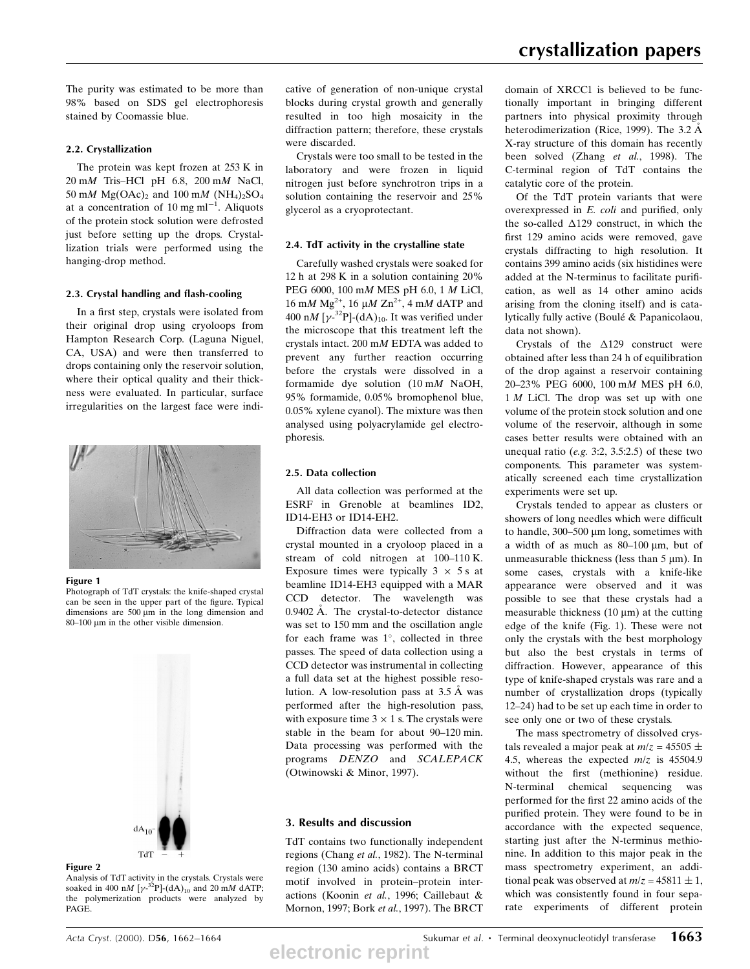The purity was estimated to be more than 98% based on SDS gel electrophoresis stained by Coomassie blue.

## 2.2. Crystallization

The protein was kept frozen at 253 K in  $20 \text{ mM}$  Tris-HCl pH 6.8,  $200 \text{ mM}$  NaCl, 50 mM Mg(OAc)<sub>2</sub> and 100 mM (NH<sub>4</sub>)<sub>2</sub>SO<sub>4</sub> at a concentration of 10 mg ml<sup>-1</sup>. Aliquots of the protein stock solution were defrosted just before setting up the drops. Crystallization trials were performed using the hanging-drop method.

## 2.3. Crystal handling and flash-cooling

In a first step, crystals were isolated from their original drop using cryoloops from Hampton Research Corp. (Laguna Niguel, CA, USA) and were then transferred to drops containing only the reservoir solution, where their optical quality and their thickness were evaluated. In particular, surface irregularities on the largest face were indi-



### Figure 1

Photograph of TdT crystals: the knife-shaped crystal can be seen in the upper part of the figure. Typical dimensions are  $500 \mu m$  in the long dimension and  $80-100$  µm in the other visible dimension.



### Figure 2

Analysis of TdT activity in the crystals. Crystals were soaked in 400 nM [ $\gamma$ -<sup>32</sup>P]-(dA)<sub>10</sub> and 20 mM dATP; the polymerization products were analyzed by PAGE.

cative of generation of non-unique crystal blocks during crystal growth and generally resulted in too high mosaicity in the diffraction pattern; therefore, these crystals were discarded.

Crystals were too small to be tested in the laboratory and were frozen in liquid nitrogen just before synchrotron trips in a solution containing the reservoir and 25% glycerol as a cryoprotectant.

## 2.4. TdT activity in the crystalline state

Carefully washed crystals were soaked for 12 h at 298 K in a solution containing 20% PEG 6000, 100 mM MES pH 6.0, 1 M LiCl, 16 m*M* Mg<sup>2+</sup>, 16 μ*M* Zn<sup>2+</sup>, 4 m*M* dATP and 400 nM [ $\gamma$ -<sup>32</sup>P]-(dA)<sub>10</sub>. It was verified under the microscope that this treatment left the crystals intact. 200 mM EDTA was added to prevent any further reaction occurring before the crystals were dissolved in a formamide dye solution (10 mM NaOH, 95% formamide, 0.05% bromophenol blue, 0.05% xylene cyanol). The mixture was then analysed using polyacrylamide gel electrophoresis.

## 2.5. Data collection

All data collection was performed at the ESRF in Grenoble at beamlines ID2, ID14-EH3 or ID14-EH2.

Diffraction data were collected from a crystal mounted in a cryoloop placed in a stream of cold nitrogen at 100-110 K. Exposure times were typically  $3 \times 5$  s at beamline ID14-EH3 equipped with a MAR CCD detector. The wavelength was  $0.9402 \text{ Å}$ . The crystal-to-detector distance was set to 150 mm and the oscillation angle for each frame was  $1^\circ$ , collected in three passes. The speed of data collection using a CCD detector was instrumental in collecting a full data set at the highest possible resolution. A low-resolution pass at  $3.5 \text{ Å}$  was performed after the high-resolution pass, with exposure time  $3 \times 1$  s. The crystals were stable in the beam for about 90-120 min. Data processing was performed with the programs DENZO and SCALEPACK (Otwinowski & Minor, 1997).

## 3. Results and discussion

TdT contains two functionally independent regions (Chang et al., 1982). The N-terminal region (130 amino acids) contains a BRCT motif involved in protein-protein interactions (Koonin et al., 1996; Caillebaut & Mornon, 1997; Bork et al., 1997). The BRCT domain of XRCC1 is believed to be functionally important in bringing different partners into physical proximity through heterodimerization (Rice, 1999). The 3.2  $\AA$ X-ray structure of this domain has recently been solved (Zhang et al., 1998). The C-terminal region of TdT contains the catalytic core of the protein.

Of the TdT protein variants that were overexpressed in  $E$ . *coli* and purified, only the so-called  $\Delta$ 129 construct, in which the first 129 amino acids were removed, gave crystals diffracting to high resolution. It contains 399 amino acids (six histidines were added at the N-terminus to facilitate purification, as well as 14 other amino acids arising from the cloning itself) and is catalytically fully active (Boulé & Papanicolaou, data not shown).

Crystals of the  $\Delta$ 129 construct were obtained after less than 24 h of equilibration of the drop against a reservoir containing 20±23% PEG 6000, 100 mM MES pH 6.0, 1 M LiCl. The drop was set up with one volume of the protein stock solution and one volume of the reservoir, although in some cases better results were obtained with an unequal ratio (e.g. 3:2, 3.5:2.5) of these two components. This parameter was systematically screened each time crystallization experiments were set up.

Crystals tended to appear as clusters or showers of long needles which were difficult to handle,  $300-500$  µm long, sometimes with a width of as much as  $80-100 \mu m$ , but of unmeasurable thickness (less than  $5 \mu m$ ). In some cases, crystals with a knife-like appearance were observed and it was possible to see that these crystals had a measurable thickness  $(10 \mu m)$  at the cutting edge of the knife (Fig. 1). These were not only the crystals with the best morphology but also the best crystals in terms of diffraction. However, appearance of this type of knife-shaped crystals was rare and a number of crystallization drops (typically 12±24) had to be set up each time in order to see only one or two of these crystals.

The mass spectrometry of dissolved crystals revealed a major peak at  $m/z = 45505 \pm$ 4.5, whereas the expected  $m/z$  is 45504.9 without the first (methionine) residue. N-terminal chemical sequencing was performed for the first 22 amino acids of the purified protein. They were found to be in accordance with the expected sequence, starting just after the N-terminus methionine. In addition to this major peak in the mass spectrometry experiment, an additional peak was observed at  $m/z = 45811 \pm 1$ , which was consistently found in four separate experiments of different protein